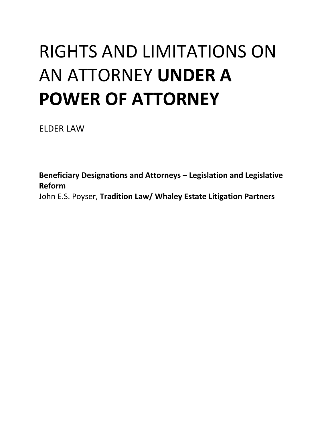# RIGHTS AND LIMITATIONS ON AN ATTORNEY **UNDER A POWER OF ATTORNEY**

ELDER LAW

**Beneficiary Designations and Attorneys – Legislation and Legislative Reform** John E.S. Poyser, **Tradition Law/ Whaley Estate Litigation Partners**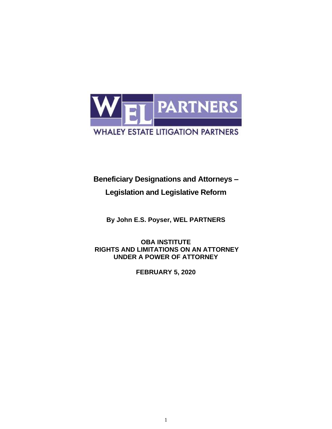

# **Beneficiary Designations and Attorneys –**

## **Legislation and Legislative Reform**

**By John E.S. Poyser, WEL PARTNERS**

#### **OBA INSTITUTE RIGHTS AND LIMITATIONS ON AN ATTORNEY UNDER A POWER OF ATTORNEY**

**FEBRUARY 5, 2020**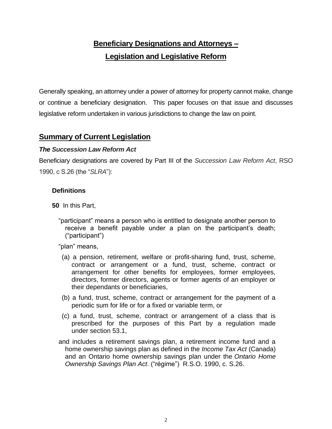# **Beneficiary Designations and Attorneys – Legislation and Legislative Reform**

Generally speaking, an attorney under a power of attorney for property cannot make, change or continue a beneficiary designation. This paper focuses on that issue and discusses legislative reform undertaken in various jurisdictions to change the law on point.

## **Summary of Current Legislation**

#### *The Succession Law Reform Act*

Beneficiary designations are covered by Part III of the *Succession Law Reform Act*, RSO 1990, c S.26 (the "*SLRA*"):

#### **Definitions**

**50** In this Part,

"participant" means a person who is entitled to designate another person to receive a benefit payable under a plan on the participant's death; ("participant")

"plan" means,

- (a) a pension, retirement, welfare or profit-sharing fund, trust, scheme, contract or arrangement or a fund, trust, scheme, contract or arrangement for other benefits for employees, former employees, directors, former directors, agents or former agents of an employer or their dependants or beneficiaries,
- (b) a fund, trust, scheme, contract or arrangement for the payment of a periodic sum for life or for a fixed or variable term, or
- (c) a fund, trust, scheme, contract or arrangement of a class that is prescribed for the purposes of this Part by a regulation made under section 53.1,
- and includes a retirement savings plan, a retirement income fund and a home ownership savings plan as defined in the *Income Tax Act* (Canada) and an Ontario home ownership savings plan under the *Ontario Home Ownership Savings Plan Act*. ("régime") R.S.O. 1990, c. S.26.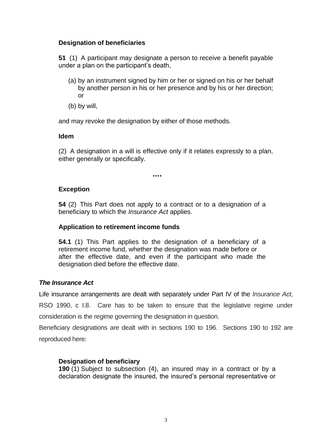#### **Designation of beneficiaries**

**51** (1) A participant may designate a person to receive a benefit payable under a plan on the participant's death,

- (a) by an instrument signed by him or her or signed on his or her behalf by another person in his or her presence and by his or her direction; or
- (b) by will,

and may revoke the designation by either of those methods.

#### **Idem**

(2) A designation in a will is effective only if it relates expressly to a plan, either generally or specifically.

**….**

#### **Exception**

**54** (2) This Part does not apply to a contract or to a designation of a beneficiary to which the *Insurance Act* applies.

#### **Application to retirement income funds**

**54.1** (1) This Part applies to the designation of a beneficiary of a retirement income fund, whether the designation was made before or after the effective date, and even if the participant who made the designation died before the effective date.

#### *The Insurance Act*

Life insurance arrangements are dealt with separately under Part IV of the *Insurance Act*, RSO 1990, c I.8. Care has to be taken to ensure that the legislative regime under consideration is the regime governing the designation in question.

Beneficiary designations are dealt with in sections 190 to 196. Sections 190 to 192 are reproduced here:

#### **Designation of beneficiary**

**190** (1) Subject to subsection (4), an insured may in a contract or by a declaration designate the insured, the insured's personal representative or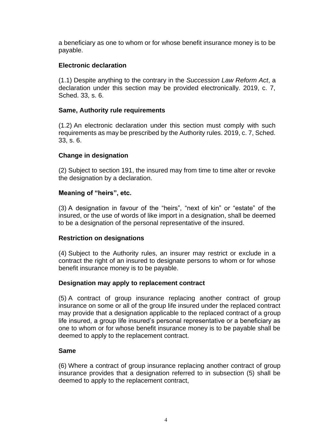a beneficiary as one to whom or for whose benefit insurance money is to be payable.

#### **Electronic declaration**

(1.1) Despite anything to the contrary in the *Succession Law Reform Act*, a declaration under this section may be provided electronically. 2019, c. 7, Sched. 33, s. 6.

#### **Same, Authority rule requirements**

(1.2) An electronic declaration under this section must comply with such requirements as may be prescribed by the Authority rules. 2019, c. 7, Sched. 33, s. 6.

#### **Change in designation**

(2) Subject to section 191, the insured may from time to time alter or revoke the designation by a declaration.

#### **Meaning of "heirs", etc.**

(3) A designation in favour of the "heirs", "next of kin" or "estate" of the insured, or the use of words of like import in a designation, shall be deemed to be a designation of the personal representative of the insured.

#### **Restriction on designations**

(4) Subject to the Authority rules, an insurer may restrict or exclude in a contract the right of an insured to designate persons to whom or for whose benefit insurance money is to be payable.

#### **Designation may apply to replacement contract**

(5) A contract of group insurance replacing another contract of group insurance on some or all of the group life insured under the replaced contract may provide that a designation applicable to the replaced contract of a group life insured, a group life insured's personal representative or a beneficiary as one to whom or for whose benefit insurance money is to be payable shall be deemed to apply to the replacement contract.

#### **Same**

(6) Where a contract of group insurance replacing another contract of group insurance provides that a designation referred to in subsection (5) shall be deemed to apply to the replacement contract,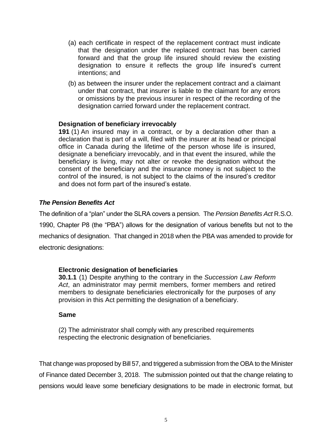- (a) each certificate in respect of the replacement contract must indicate that the designation under the replaced contract has been carried forward and that the group life insured should review the existing designation to ensure it reflects the group life insured's current intentions; and
- (b) as between the insurer under the replacement contract and a claimant under that contract, that insurer is liable to the claimant for any errors or omissions by the previous insurer in respect of the recording of the designation carried forward under the replacement contract.

#### **Designation of beneficiary irrevocably**

**191** (1) An insured may in a contract, or by a declaration other than a declaration that is part of a will, filed with the insurer at its head or principal office in Canada during the lifetime of the person whose life is insured, designate a beneficiary irrevocably, and in that event the insured, while the beneficiary is living, may not alter or revoke the designation without the consent of the beneficiary and the insurance money is not subject to the control of the insured, is not subject to the claims of the insured's creditor and does not form part of the insured's estate.

#### *The Pension Benefits Act*

The definition of a "plan" under the SLRA covers a pension. The *Pension Benefits Act* R.S.O. 1990, Chapter P8 (the "PBA") allows for the designation of various benefits but not to the mechanics of designation. That changed in 2018 when the PBA was amended to provide for electronic designations:

#### **Electronic designation of beneficiaries**

**30.1.1** (1) Despite anything to the contrary in the *Succession Law Reform Act*, an administrator may permit members, former members and retired members to designate beneficiaries electronically for the purposes of any provision in this Act permitting the designation of a beneficiary.

#### **Same**

(2) The administrator shall comply with any prescribed requirements respecting the electronic designation of beneficiaries.

That change was proposed by Bill 57, and triggered a submission from the OBA to the Minister of Finance dated December 3, 2018. The submission pointed out that the change relating to pensions would leave some beneficiary designations to be made in electronic format, but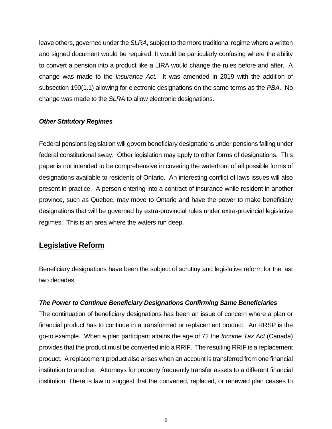leave others, governed under the *SLRA*, subject to the more traditional regime where a written and signed document would be required. It would be particularly confusing where the ability to convert a pension into a product like a LIRA would change the rules before and after. A change was made to the *Insurance Act.* It was amended in 2019 with the addition of subsection 190(1.1) allowing for electronic designations on the same terms as the *PBA*. No change was made to the *SLRA* to allow electronic designations.

#### *Other Statutory Regimes*

Federal pensions legislation will govern beneficiary designations under pensions falling under federal constitutional sway. Other legislation may apply to other forms of designations. This paper is not intended to be comprehensive in covering the waterfront of all possible forms of designations available to residents of Ontario. An interesting conflict of laws issues will also present in practice. A person entering into a contract of insurance while resident in another province, such as Quebec, may move to Ontario and have the power to make beneficiary designations that will be governed by extra-provincial rules under extra-provincial legislative regimes. This is an area where the waters run deep.

#### **Legislative Reform**

Beneficiary designations have been the subject of scrutiny and legislative reform for the last two decades.

#### *The Power to Continue Beneficiary Designations Confirming Same Beneficiaries*

The continuation of beneficiary designations has been an issue of concern where a plan or financial product has to continue in a transformed or replacement product. An RRSP is the go-to example. When a plan participant attains the age of 72 the *Income Tax Act* (Canada) provides that the product must be converted into a RRIF. The resulting RRIF is a replacement product. A replacement product also arises when an account is transferred from one financial institution to another. Attorneys for property frequently transfer assets to a different financial institution. There is law to suggest that the converted, replaced, or renewed plan ceases to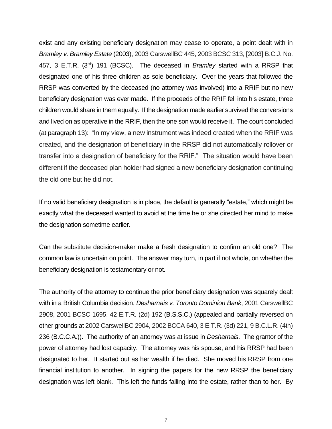exist and any existing beneficiary designation may cease to operate, a point dealt with in *Bramley v. Bramley Estate* (2003), 2003 CarswellBC 445, 2003 BCSC 313, [2003] B.C.J. No. 457, 3 E.T.R. (3rd) 191 (BCSC). The deceased in *Bramley* started with a RRSP that designated one of his three children as sole beneficiary. Over the years that followed the RRSP was converted by the deceased (no attorney was involved) into a RRIF but no new beneficiary designation was ever made. If the proceeds of the RRIF fell into his estate, three children would share in them equally. If the designation made earlier survived the conversions and lived on as operative in the RRIF, then the one son would receive it. The court concluded (at paragraph 13): "In my view, a new instrument was indeed created when the RRIF was created, and the designation of beneficiary in the RRSP did not automatically rollover or transfer into a designation of beneficiary for the RRIF." The situation would have been different if the deceased plan holder had signed a new beneficiary designation continuing the old one but he did not.

If no valid beneficiary designation is in place, the default is generally "estate," which might be exactly what the deceased wanted to avoid at the time he or she directed her mind to make the designation sometime earlier.

Can the substitute decision-maker make a fresh designation to confirm an old one? The common law is uncertain on point. The answer may turn, in part if not whole, on whether the beneficiary designation is testamentary or not.

The authority of the attorney to continue the prior beneficiary designation was squarely dealt with in a British Columbia decision, *Desharnais v. Toronto Dominion Bank*, 2001 CarswellBC 2908, 2001 BCSC 1695, 42 E.T.R. (2d) 192 (B.S.S.C.) (appealed and partially reversed on other grounds at 2002 CarswellBC 2904, 2002 BCCA 640, 3 E.T.R. (3d) 221, 9 B.C.L.R. (4th) 236 (B.C.C.A.)). The authority of an attorney was at issue in *Desharnais*. The grantor of the power of attorney had lost capacity. The attorney was his spouse, and his RRSP had been designated to her. It started out as her wealth if he died. She moved his RRSP from one financial institution to another. In signing the papers for the new RRSP the beneficiary designation was left blank. This left the funds falling into the estate, rather than to her. By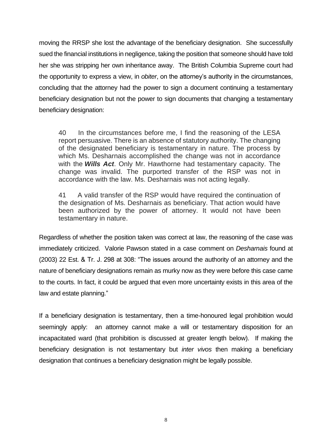moving the RRSP she lost the advantage of the beneficiary designation. She successfully sued the financial institutions in negligence, taking the position that someone should have told her she was stripping her own inheritance away. The British Columbia Supreme court had the opportunity to express a view, in *obiter*, on the attorney's authority in the circumstances, concluding that the attorney had the power to sign a document continuing a testamentary beneficiary designation but not the power to sign documents that changing a testamentary beneficiary designation:

40 In the circumstances before me, I find the reasoning of the LESA report persuasive. There is an absence of statutory authority. The changing of the designated beneficiary is testamentary in nature. The process by which Ms. Desharnais accomplished the change was not in accordance with the *Wills Act*. Only Mr. Hawthorne had testamentary capacity. The change was invalid. The purported transfer of the RSP was not in accordance with the law. Ms. Desharnais was not acting legally.

41 A valid transfer of the RSP would have required the continuation of the designation of Ms. Desharnais as beneficiary. That action would have been authorized by the power of attorney. It would not have been testamentary in nature.

Regardless of whether the position taken was correct at law, the reasoning of the case was immediately criticized. Valorie Pawson stated in a case comment on *Desharnais* found at (2003) 22 Est. & Tr. J. 298 at 308: "The issues around the authority of an attorney and the nature of beneficiary designations remain as murky now as they were before this case came to the courts. In fact, it could be argued that even more uncertainty exists in this area of the law and estate planning."

If a beneficiary designation is testamentary, then a time-honoured legal prohibition would seemingly apply: an attorney cannot make a will or testamentary disposition for an incapacitated ward (that prohibition is discussed at greater length below). If making the beneficiary designation is not testamentary but *inter vivos* then making a beneficiary designation that continues a beneficiary designation might be legally possible.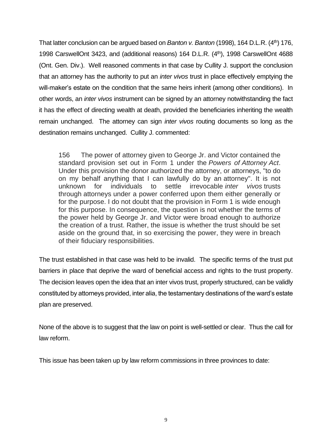That latter conclusion can be argued based on *Banton v. Banton* (1998), 164 D.L.R. (4th) 176, 1998 CarswellOnt 3423, and (additional reasons) 164 D.L.R. (4<sup>th</sup>), 1998 CarswellOnt 4688 (Ont. Gen. Div.). Well reasoned comments in that case by Cullity J. support the conclusion that an attorney has the authority to put an *inter vivos* trust in place effectively emptying the will-maker's estate on the condition that the same heirs inherit (among other conditions). In other words, an *inter vivos* instrument can be signed by an attorney notwithstanding the fact it has the effect of directing wealth at death, provided the beneficiaries inheriting the wealth remain unchanged. The attorney can sign *inter vivos* routing documents so long as the destination remains unchanged. Cullity J. commented:

156 The power of attorney given to George Jr. and Victor contained the standard provision set out in Form 1 under the *Powers of Attorney Act*. Under this provision the donor authorized the attorney, or attorneys, "to do on my behalf anything that I can lawfully do by an attorney". It is not unknown for individuals to settle irrevocable *inter vivos* trusts through attorneys under a power conferred upon them either generally or for the purpose. I do not doubt that the provision in Form 1 is wide enough for this purpose. In consequence, the question is not whether the terms of the power held by George Jr. and Victor were broad enough to authorize the creation of a trust. Rather, the issue is whether the trust should be set aside on the ground that, in so exercising the power, they were in breach of their fiduciary responsibilities.

The trust established in that case was held to be invalid. The specific terms of the trust put barriers in place that deprive the ward of beneficial access and rights to the trust property. The decision leaves open the idea that an inter vivos trust, properly structured, can be validly constituted by attorneys provided, inter alia, the testamentary destinations of the ward's estate plan are preserved.

None of the above is to suggest that the law on point is well-settled or clear. Thus the call for law reform.

This issue has been taken up by law reform commissions in three provinces to date: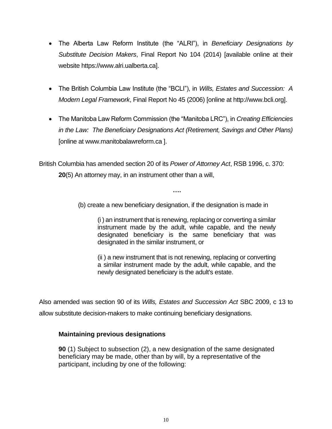- The Alberta Law Reform Institute (the "ALRI"), in *Beneficiary Designations by Substitute Decision Makers*, Final Report No 104 (2014) [available online at their website https://www.alri.ualberta.ca].
- The British Columbia Law Institute (the "BCLI"), in *Wills, Estates and Succession: A Modern Legal Framework*, Final Report No 45 (2006) [online at http://www.bcli.org].
- The Manitoba Law Reform Commission (the "Manitoba LRC"), in *Creating Efficiencies in the Law: The Beneficiary Designations Act (Retirement, Savings and Other Plans)* [online at www.manitobalawreform.ca ].

British Columbia has amended section 20 of its *Power of Attorney Act*, RSB 1996, c. 370: **20**(5) An attorney may, in an instrument other than a will,

(b) create a new beneficiary designation, if the designation is made in

**….**

(i ) an instrument that is renewing, replacing or converting a similar instrument made by the adult, while capable, and the newly designated beneficiary is the same beneficiary that was designated in the similar instrument, or

(ii ) a new instrument that is not renewing, replacing or converting a similar instrument made by the adult, while capable, and the newly designated beneficiary is the adult's estate.

Also amended was section 90 of its *Wills, Estates and Succession Act* SBC 2009, c 13 to allow substitute decision-makers to make continuing beneficiary designations.

#### **Maintaining previous designations**

**90** (1) Subject to subsection (2), a new designation of the same designated beneficiary may be made, other than by will, by a representative of the participant, including by one of the following: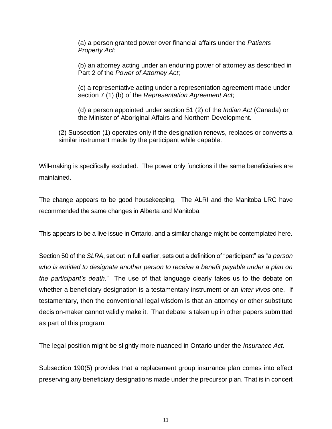(a) a person granted power over financial affairs under the *Patients Property Act*;

(b) an attorney acting under an enduring power of attorney as described in Part 2 of the *Power of Attorney Act*;

(c) a representative acting under a representation agreement made under section 7 (1) (b) of the *Representation Agreement Act*;

(d) a person appointed under section 51 (2) of the *Indian Act* (Canada) or the Minister of Aboriginal Affairs and Northern Development.

(2) Subsection (1) operates only if the designation renews, replaces or converts a similar instrument made by the participant while capable.

Will-making is specifically excluded. The power only functions if the same beneficiaries are maintained.

The change appears to be good housekeeping. The ALRI and the Manitoba LRC have recommended the same changes in Alberta and Manitoba.

This appears to be a live issue in Ontario, and a similar change might be contemplated here.

Section 50 of the *SLRA*, set out in full earlier, sets out a definition of "participant" as "*a person who is entitled to designate another person to receive a benefit payable under a plan on the participant's death*." The use of that language clearly takes us to the debate on whether a beneficiary designation is a testamentary instrument or an *inter vivos* one. If testamentary, then the conventional legal wisdom is that an attorney or other substitute decision-maker cannot validly make it. That debate is taken up in other papers submitted as part of this program.

The legal position might be slightly more nuanced in Ontario under the *Insurance Act*.

Subsection 190(5) provides that a replacement group insurance plan comes into effect preserving any beneficiary designations made under the precursor plan. That is in concert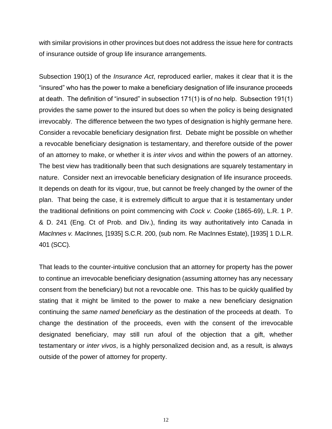with similar provisions in other provinces but does not address the issue here for contracts of insurance outside of group life insurance arrangements.

Subsection 190(1) of the *Insurance Act*, reproduced earlier, makes it clear that it is the "insured" who has the power to make a beneficiary designation of life insurance proceeds at death. The definition of "insured" in subsection 171(1) is of no help. Subsection 191(1) provides the same power to the insured but does so when the policy is being designated irrevocably. The difference between the two types of designation is highly germane here. Consider a revocable beneficiary designation first. Debate might be possible on whether a revocable beneficiary designation is testamentary, and therefore outside of the power of an attorney to make, or whether it is *inter vivos* and within the powers of an attorney. The best view has traditionally been that such designations are squarely testamentary in nature. Consider next an irrevocable beneficiary designation of life insurance proceeds. It depends on death for its vigour, true, but cannot be freely changed by the owner of the plan. That being the case, it is extremely difficult to argue that it is testamentary under the traditional definitions on point commencing with *Cock v. Cooke* (1865-69), L.R. 1 P. & D. 241 (Eng. Ct of Prob. and Div.), finding its way authoritatively into Canada in *MacInnes v. MacInnes,* [1935] S.C.R. 200, (sub nom. Re MacInnes Estate), [1935] 1 D.L.R. 401 (SCC).

That leads to the counter-intuitive conclusion that an attorney for property has the power to continue an irrevocable beneficiary designation (assuming attorney has any necessary consent from the beneficiary) but not a revocable one. This has to be quickly qualified by stating that it might be limited to the power to make a new beneficiary designation continuing the *same named beneficiary* as the destination of the proceeds at death. To change the destination of the proceeds, even with the consent of the irrevocable designated beneficiary, may still run afoul of the objection that a gift, whether testamentary or *inter vivos*, is a highly personalized decision and, as a result, is always outside of the power of attorney for property.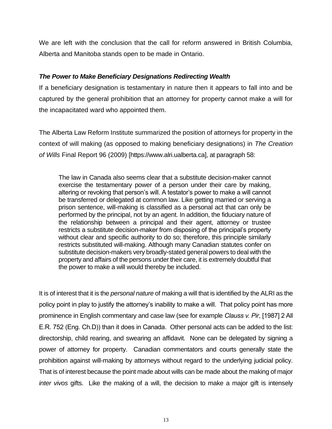We are left with the conclusion that the call for reform answered in British Columbia, Alberta and Manitoba stands open to be made in Ontario.

#### *The Power to Make Beneficiary Designations Redirecting Wealth*

If a beneficiary designation is testamentary in nature then it appears to fall into and be captured by the general prohibition that an attorney for property cannot make a will for the incapacitated ward who appointed them.

The Alberta Law Reform Institute summarized the position of attorneys for property in the context of will making (as opposed to making beneficiary designations) in *The Creation of Wills* Final Report 96 (2009) [https://www.alri.ualberta.ca], at paragraph 58:

The law in Canada also seems clear that a substitute decision-maker cannot exercise the testamentary power of a person under their care by making, altering or revoking that person's will. A testator's power to make a will cannot be transferred or delegated at common law. Like getting married or serving a prison sentence, will-making is classified as a personal act that can only be performed by the principal, not by an agent. In addition, the fiduciary nature of the relationship between a principal and their agent, attorney or trustee restricts a substitute decision-maker from disposing of the principal's property without clear and specific authority to do so; therefore, this principle similarly restricts substituted will-making. Although many Canadian statutes confer on substitute decision-makers very broadly-stated general powers to deal with the property and affairs of the persons under their care, it is extremely doubtful that the power to make a will would thereby be included.

It is of interest that it is the *personal nature* of making a will that is identified by the ALRI as the policy point in play to justify the attorney's inability to make a will. That policy point has more prominence in English commentary and case law (see for example *Clauss v. Pir*, [1987] 2 All E.R. 752 (Eng. Ch.D)) than it does in Canada. Other personal acts can be added to the list: directorship, child rearing, and swearing an affidavit. None can be delegated by signing a power of attorney for property. Canadian commentators and courts generally state the prohibition against will-making by attorneys without regard to the underlying judicial policy. That is of interest because the point made about wills can be made about the making of major *inter vivos* gifts. Like the making of a will, the decision to make a major gift is intensely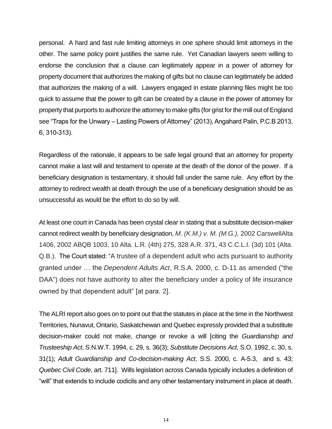personal. A hard and fast rule limiting attorneys in one sphere should limit attorneys in the other. The same policy point justifies the same rule. Yet Canadian lawyers seem willing to endorse the conclusion that a clause can legitimately appear in a power of attorney for property document that authorizes the making of gifts but no clause can legitimately be added that authorizes the making of a will. Lawyers engaged in estate planning files might be too quick to assume that the power to gift can be created by a clause in the power of attorney for property that purports to authorize the attorney to make gifts (for grist for the mill out of England see "Traps for the Unwary – Lasting Powers of Attorney" (2013), Angahard Palin, P.C.B 2013, 6, 310-313).

Regardless of the rationale, it appears to be safe legal ground that an attorney for property cannot make a last will and testament to operate at the death of the donor of the power. If a beneficiary designation is testamentary, it should fall under the same rule. Any effort by the attorney to redirect wealth at death through the use of a beneficiary designation should be as unsuccessful as would be the effort to do so by will.

At least one court in Canada has been crystal clear in stating that a substitute decision-maker cannot redirect wealth by beneficiary designation, *M. (K.M.) v. M. (M.G.),* 2002 CarswellAlta 1406, 2002 ABQB 1003, 10 Alta. L.R. (4th) 275, 328 A.R. 371, 43 C.C.L.I. (3d) 101 (Alta. Q.B.). The Court stated: "A trustee of a dependent adult who acts pursuant to authority granted under … the *Dependent Adults Act*, R.S.A. 2000, c. D-11 as amended ("the DAA") does not have authority to alter the beneficiary under a policy of life insurance owned by that dependent adult" [at para. 2].

The ALRI report also goes on to point out that the statutes in place at the time in the Northwest Territories, Nunavut, Ontario, Saskatchewan and Quebec expressly provided that a substitute decision-maker could not make, change or revoke a will [citing the *Guardianship and Trusteeship Act*, S.N.W.T. 1994, c. 29, s. 36(3); *Substitute Decisions Act*, S.O. 1992, c. 30, s. 31(1); *Adult Guardianship and Co-decision-making Act*, S.S. 2000, c. A-5.3, and s. 43; *Quebec Civil Code*, art. 711]. Wills legislation across Canada typically includes a definition of "will" that extends to include codicils and any other testamentary instrument in place at death.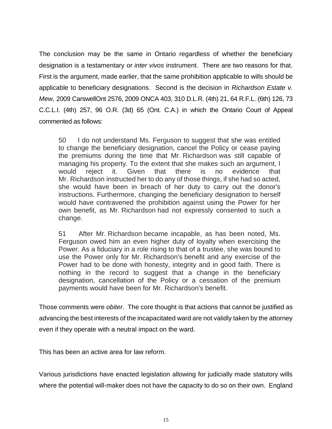The conclusion may be the same in Ontario regardless of whether the beneficiary designation is a testamentary or *inter vivos* instrument. There are two reasons for that. First is the argument, made earlier, that the same prohibition applicable to wills should be applicable to beneficiary designations. Second is the decision in *Richardson Estate v. Mew,* 2009 CarswellOnt 2576, 2009 ONCA 403, 310 D.L.R. (4th) 21, 64 R.F.L. (6th) 126, 73 C.C.L.I. (4th) 257, 96 O.R. (3d) 65 (Ont. C.A.) in which the Ontario Court of Appeal commented as follows:

50 I do not understand Ms. Ferguson to suggest that she was entitled to change the beneficiary designation, cancel the Policy or cease paying the premiums during the time that Mr. Richardson was still capable of managing his property. To the extent that she makes such an argument, I would reject it. Given that there is no evidence that Mr. Richardson instructed her to do any of those things, if she had so acted, she would have been in breach of her duty to carry out the donor's instructions. Furthermore, changing the beneficiary designation to herself would have contravened the prohibition against using the Power for her own benefit, as Mr. Richardson had not expressly consented to such a change.

51 After Mr. Richardson became incapable, as has been noted, Ms. Ferguson owed him an even higher duty of loyalty when exercising the Power. As a fiduciary in a role rising to that of a trustee, she was bound to use the Power only for Mr. Richardson's benefit and any exercise of the Power had to be done with honesty, integrity and in good faith. There is nothing in the record to suggest that a change in the beneficiary designation, cancellation of the Policy or a cessation of the premium payments would have been for Mr. Richardson's benefit.

Those comments were *obiter*. The core thought is that actions that cannot be justified as advancing the best interests of the incapacitated ward are not validly taken by the attorney even if they operate with a neutral impact on the ward.

This has been an active area for law reform.

Various jurisdictions have enacted legislation allowing for judicially made statutory wills where the potential will-maker does not have the capacity to do so on their own. England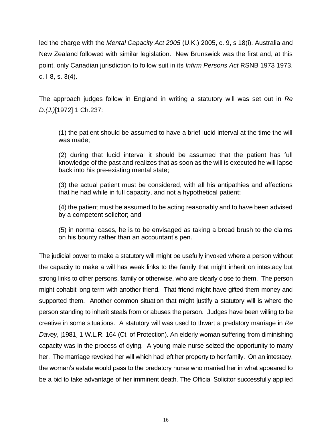led the charge with the *Mental Capacity Act 2005* (U.K.) 2005, c. 9, s 18(i). Australia and New Zealand followed with similar legislation. New Brunswick was the first and, at this point, only Canadian jurisdiction to follow suit in its *Infirm Persons Act* RSNB 1973 1973, c. I-8, s. 3(4).

The approach judges follow in England in writing a statutory will was set out in *Re D.(J.)*[1972] 1 Ch.237:

(1) the patient should be assumed to have a brief lucid interval at the time the will was made;

(2) during that lucid interval it should be assumed that the patient has full knowledge of the past and realizes that as soon as the will is executed he will lapse back into his pre-existing mental state;

(3) the actual patient must be considered, with all his antipathies and affections that he had while in full capacity, and not a hypothetical patient;

(4) the patient must be assumed to be acting reasonably and to have been advised by a competent solicitor; and

(5) in normal cases, he is to be envisaged as taking a broad brush to the claims on his bounty rather than an accountant's pen.

The judicial power to make a statutory will might be usefully invoked where a person without the capacity to make a will has weak links to the family that might inherit on intestacy but strong links to other persons, family or otherwise, who are clearly close to them. The person might cohabit long term with another friend. That friend might have gifted them money and supported them. Another common situation that might justify a statutory will is where the person standing to inherit steals from or abuses the person. Judges have been willing to be creative in some situations. A statutory will was used to thwart a predatory marriage in *Re Davey*, [1981] 1 W.L.R. 164 (Ct. of Protection). An elderly woman suffering from diminishing capacity was in the process of dying. A young male nurse seized the opportunity to marry her. The marriage revoked her will which had left her property to her family. On an intestacy, the woman's estate would pass to the predatory nurse who married her in what appeared to be a bid to take advantage of her imminent death. The Official Solicitor successfully applied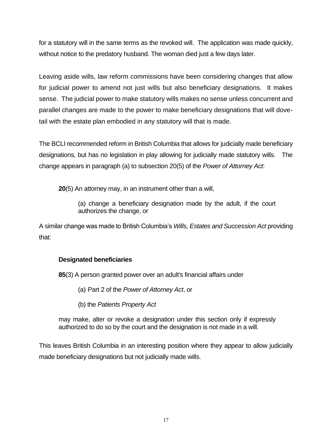for a statutory will in the same terms as the revoked will. The application was made quickly, without notice to the predatory husband. The woman died just a few days later.

Leaving aside wills, law reform commissions have been considering changes that allow for judicial power to amend not just wills but also beneficiary designations. It makes sense. The judicial power to make statutory wills makes no sense unless concurrent and parallel changes are made to the power to make beneficiary designations that will dovetail with the estate plan embodied in any statutory will that is made.

The BCLI recommended reform in British Columbia that allows for judicially made beneficiary designations, but has no legislation in play allowing for judicially made statutory wills. The change appears in paragraph (a) to subsection 20(5) of the *Power of Attorney Act*:

**20**(5) An attorney may, in an instrument other than a will,

(a) change a beneficiary designation made by the adult, if the court authorizes the change, or

A similar change was made to British Columbia's *Wills, Estates and Succession Act* providing that:

#### **Designated beneficiaries**

**85**(3) A person granted power over an adult's financial affairs under

(a) Part 2 of the *Power of Attorney Act*, or

(b) the *Patients Property Act*

may make, alter or revoke a designation under this section only if expressly authorized to do so by the court and the designation is not made in a will.

This leaves British Columbia in an interesting position where they appear to allow judicially made beneficiary designations but not judicially made wills.